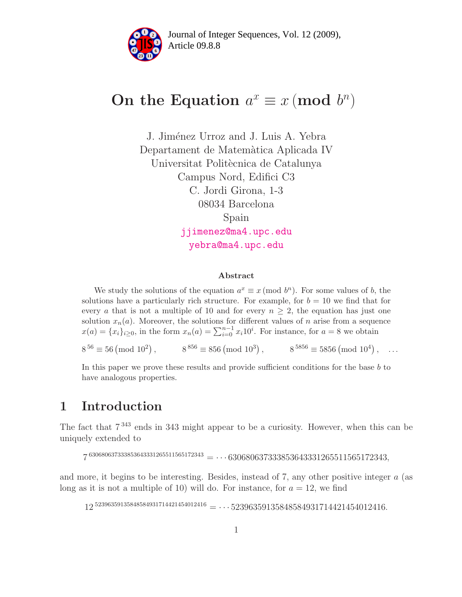

# On the Equation  $a^x \equiv x \pmod{b^n}$

J. Jiménez Urroz and J. Luis A. Yebra Departament de Matemàtica Aplicada IV Universitat Politècnica de Catalunya Campus Nord, Edifici C3 C. Jordi Girona, 1-3 08034 Barcelona Spain [jjimenez@ma4.upc.edu](mailto:jjimenez@ma4.upc.edu) [yebra@ma4.upc.edu](mailto:yebra@ma4.upc.edu)

#### Abstract

We study the solutions of the equation  $a^x \equiv x \pmod{b^n}$ . For some values of b, the solutions have a particularly rich structure. For example, for  $b = 10$  we find that for every a that is not a multiple of 10 and for every  $n \geq 2$ , the equation has just one solution  $x_n(a)$ . Moreover, the solutions for different values of n arise from a sequence  $x(a) = \{x_i\}_{i\geq 0}$ , in the form  $x_n(a) = \sum_{i=0}^{n-1} x_i 10^i$ . For instance, for  $a = 8$  we obtain  $8^{56} \equiv 56 \pmod{10^2}$  $, \qquad 8^{856} \equiv 856 \pmod{10^3}, \qquad 8^{5856} \equiv 5856 \pmod{10^4}, \quad \dots$ 

In this paper we prove these results and provide sufficient conditions for the base b to

### 1 Introduction

have analogous properties.

The fact that  $7^{343}$  ends in 343 might appear to be a curiosity. However, when this can be uniquely extended to

 $7^{\,630680637333853643331265511565172343} = \cdots 630680637333853643331265511565172343,$ 

and more, it begins to be interesting. Besides, instead of 7, any other positive integer  $a$  (as long as it is not a multiple of 10) will do. For instance, for  $a = 12$ , we find

 $12^{52396359135848584931714421454012416} = \cdots 52396359135848584931714421454012416.$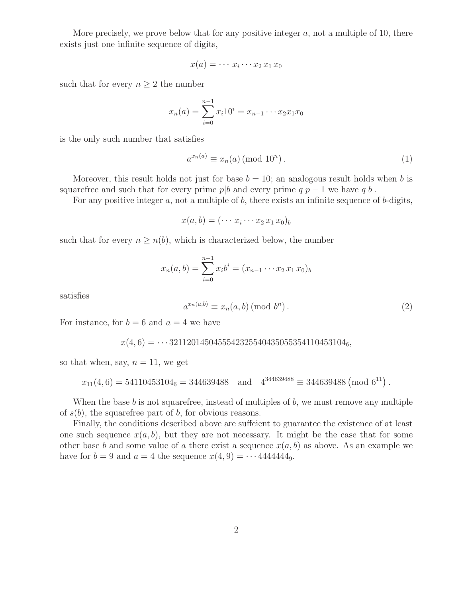More precisely, we prove below that for any positive integer  $a$ , not a multiple of 10, there exists just one infinite sequence of digits,

$$
x(a) = \cdots x_i \cdots x_2 \, x_1 \, x_0
$$

such that for every  $n \geq 2$  the number

$$
x_n(a) = \sum_{i=0}^{n-1} x_i 10^i = x_{n-1} \cdots x_2 x_1 x_0
$$

is the only such number that satisfies

$$
a^{x_n(a)} \equiv x_n(a) \pmod{10^n}.
$$
 (1)

Moreover, this result holds not just for base  $b = 10$ ; an analogous result holds when b is squarefree and such that for every prime  $p|b$  and every prime  $q|p-1$  we have  $q|b$ .

For any positive integer  $a$ , not a multiple of  $b$ , there exists an infinite sequence of  $b$ -digits,

$$
x(a,b)=(\cdots x_i\cdots x_2\,x_1\,x_0)_b
$$

such that for every  $n \geq n(b)$ , which is characterized below, the number

$$
x_n(a,b) = \sum_{i=0}^{n-1} x_i b^i = (x_{n-1} \cdots x_2 \, x_1 \, x_0)_b
$$

<span id="page-1-0"></span>satisfies

$$
a^{x_n(a,b)} \equiv x_n(a,b) \pmod{b^n}.
$$
 (2)

For instance, for  $b = 6$  and  $a = 4$  we have

$$
x(4,6) = \cdots 3211201450455542325540435055354110453104_6,
$$

so that when, say,  $n = 11$ , we get

$$
x_{11}(4,6) = 54110453104_6 = 344639488
$$
 and  $4^{344639488} \equiv 344639488 \pmod{6^{11}}$ .

When the base  $b$  is not squarefree, instead of multiples of  $b$ , we must remove any multiple of  $s(b)$ , the squarefree part of b, for obvious reasons.

Finally, the conditions described above are suffcient to guarantee the existence of at least one such sequence  $x(a, b)$ , but they are not necessary. It might be the case that for some other base b and some value of a there exist a sequence  $x(a, b)$  as above. As an example we have for  $b = 9$  and  $a = 4$  the sequence  $x(4, 9) = \cdots 4444444_9$ .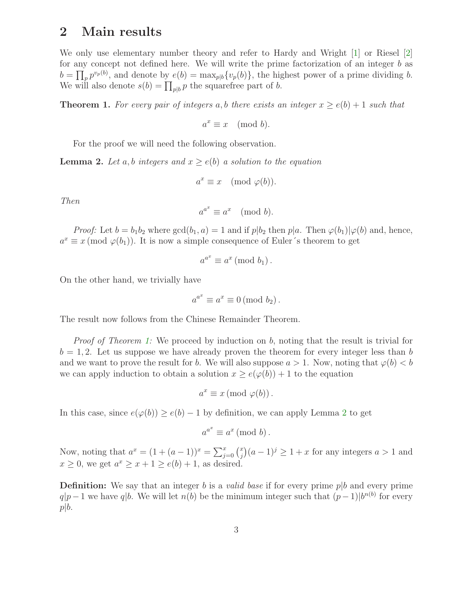#### 2 Main results

We only use elementary number theory and refer to Hardy and Wright [\[1\]](#page-7-0) or Riesel [\[2\]](#page-7-1) for any concept not defined here. We will write the prime factorization of an integer  $b$  as  $b = \prod_p p^{v_p(b)}$ , and denote by  $e(b) = \max_{p \mid b} \{v_p(b)\}\$ , the highest power of a prime dividing b. We will also denote  $s(b) = \prod_{p|b} p$  the squarefree part of b.

<span id="page-2-0"></span>**Theorem 1.** For every pair of integers a, b there exists an integer  $x \geq e(b) + 1$  such that

 $a^x \equiv x \pmod{b}.$ 

For the proof we will need the following observation.

<span id="page-2-1"></span>**Lemma 2.** Let a, b integers and  $x > e(b)$  a solution to the equation

$$
a^x \equiv x \pmod{\varphi(b)}.
$$

Then

$$
a^{a^x} \equiv a^x \pmod{b}.
$$

*Proof:* Let  $b = b_1b_2$  where  $gcd(b_1, a) = 1$  and if  $p|b_2$  then  $p|a$ . Then  $\varphi(b_1)|\varphi(b)$  and, hence,  $a^x \equiv x \pmod{\varphi(b_1)}$ . It is now a simple consequence of Euler's theorem to get

$$
a^{a^x} \equiv a^x \pmod{b_1}.
$$

On the other hand, we trivially have

$$
a^{a^x} \equiv a^x \equiv 0 \pmod{b_2}.
$$

The result now follows from the Chinese Remainder Theorem.

Proof of Theorem [1:](#page-2-0) We proceed by induction on b, noting that the result is trivial for  $b = 1, 2$ . Let us suppose we have already proven the theorem for every integer less than b and we want to prove the result for b. We will also suppose  $a > 1$ . Now, noting that  $\varphi(b) < b$ we can apply induction to obtain a solution  $x \geq e(\varphi(b)) + 1$  to the equation

$$
a^x \equiv x \pmod{\varphi(b)}.
$$

In this case, since  $e(\varphi(b)) \geq e(b) - 1$  by definition, we can apply Lemma [2](#page-2-1) to get

$$
a^{a^x} \equiv a^x \pmod{b}.
$$

Now, noting that  $a^x = (1 + (a - 1))^x = \sum_{j=0}^x {x \choose j}$  $j(x_j)(a-1)^j \geq 1+x$  for any integers  $a>1$  and  $x \geq 0$ , we get  $a^x \geq x+1 \geq e(b)+1$ , as desired.

**Definition:** We say that an integer b is a *valid base* if for every prime  $p|b$  and every prime  $q|p-1$  we have  $q|b$ . We will let  $n(b)$  be the minimum integer such that  $(p-1)|b^{n(b)}$  for every  $p|b.$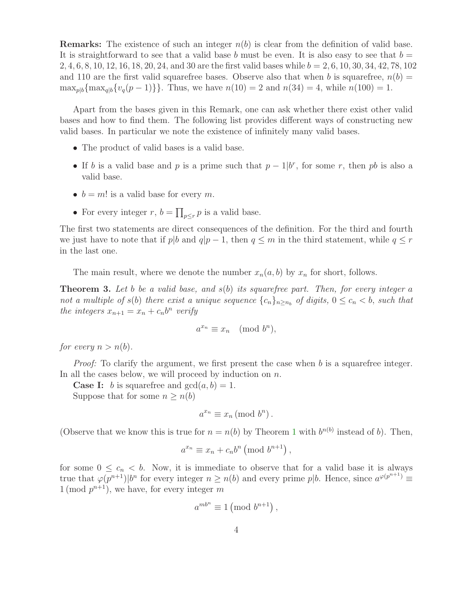**Remarks:** The existence of such an integer  $n(b)$  is clear from the definition of valid base. It is straightforward to see that a valid base b must be even. It is also easy to see that  $b =$  $2, 4, 6, 8, 10, 12, 16, 18, 20, 24,$  and 30 are the first valid bases while  $b = 2, 6, 10, 30, 34, 42, 78, 102$ and 110 are the first valid squarefree bases. Observe also that when b is squarefree,  $n(b)$  =  $\max_{p|b} {\max_{q|b} \{v_q(p-1)\}}$ . Thus, we have  $n(10) = 2$  and  $n(34) = 4$ , while  $n(100) = 1$ .

Apart from the bases given in this Remark, one can ask whether there exist other valid bases and how to find them. The following list provides different ways of constructing new valid bases. In particular we note the existence of infinitely many valid bases.

- The product of valid bases is a valid base.
- If b is a valid base and p is a prime such that  $p-1|b^r$ , for some r, then pb is also a valid base.
- $b = m!$  is a valid base for every m.
- For every integer r,  $b = \prod_{p \le r} p$  is a valid base.

The first two statements are direct consequences of the definition. For the third and fourth we just have to note that if p|b and  $q|p-1$ , then  $q \leq m$  in the third statement, while  $q \leq r$ in the last one.

The main result, where we denote the number  $x_n(a, b)$  by  $x_n$  for short, follows.

<span id="page-3-0"></span>**Theorem 3.** Let b be a valid base, and  $s(b)$  its squarefree part. Then, for every integer a not a multiple of  $s(b)$  there exist a unique sequence  $\{c_n\}_{n\geq n_b}$  of digits,  $0 \leq c_n < b$ , such that the integers  $x_{n+1} = x_n + c_n b^n$  verify

$$
a^{x_n} \equiv x_n \pmod{b^n},
$$

for every  $n > n(b)$ .

*Proof:* To clarify the argument, we first present the case when b is a squarefree integer. In all the cases below, we will proceed by induction on  $n$ .

**Case I:** b is squarefree and  $gcd(a, b) = 1$ .

Suppose that for some  $n \geq n(b)$ 

$$
a^{x_n} \equiv x_n \pmod{b^n}.
$$

(Observe that we know this is true for  $n = n(b)$  by Theorem [1](#page-2-0) with  $b^{n(b)}$  instead of b). Then,

$$
a^{x_n} \equiv x_n + c_n b^n \pmod{b^{n+1}},
$$

for some  $0 \leq c_n < b$ . Now, it is immediate to observe that for a valid base it is always true that  $\varphi(p^{n+1})|b^n$  for every integer  $n \ge n(b)$  and every prime  $p|b$ . Hence, since  $a^{\varphi(p^{n+1})} \equiv$ 1 (mod  $p^{n+1}$ ), we have, for every integer m

$$
a^{mb^n} \equiv 1 \pmod{b^{n+1}},
$$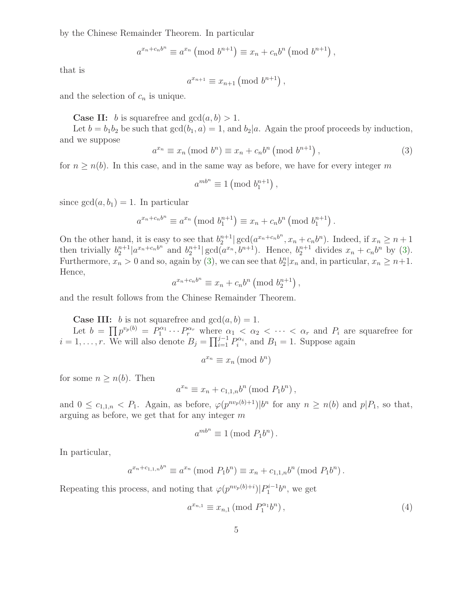by the Chinese Remainder Theorem. In particular

$$
a^{x_n+c_n b^n} \equiv a^{x_n} \left( \text{mod } b^{n+1} \right) \equiv x_n + c_n b^n \left( \text{mod } b^{n+1} \right),
$$

that is

$$
a^{x_{n+1}} \equiv x_{n+1} \pmod{b^{n+1}},
$$

and the selection of  $c_n$  is unique.

<span id="page-4-0"></span>**Case II:** b is squarefree and  $gcd(a, b) > 1$ .

Let  $b = b_1b_2$  be such that  $gcd(b_1, a) = 1$ , and  $b_2|a$ . Again the proof proceeds by induction, and we suppose

$$
a^{x_n} \equiv x_n \pmod{b^n} \equiv x_n + c_n b^n \pmod{b^{n+1}},\tag{3}
$$

.

for  $n \geq n(b)$ . In this case, and in the same way as before, we have for every integer m

$$
a^{mb^n} \equiv 1 \left( \text{mod } b_1^{n+1} \right),
$$

since  $gcd(a, b_1) = 1$ . In particular

$$
a^{x_n+c_n b^n} \equiv a^{x_n} \left( \text{mod } b_1^{n+1} \right) \equiv x_n + c_n b^n \left( \text{mod } b_1^{n+1} \right)
$$

On the other hand, it is easy to see that  $b_2^{n+1}$  gcd $(a^{x_n+c_nb^n}, x_n+c_nb^n)$ . Indeed, if  $x_n \ge n+1$ then trivially  $b_2^{n+1} |a^{x_n+c_n b^n}$  and  $b_2^{n+1} | \gcd(a^{x_n}, b^{n+1})$ . Hence,  $b_2^{n+1}$  divides  $x_n + c_n b^n$  by [\(3\)](#page-4-0). Furthermore,  $x_n > 0$  and so, again by [\(3\)](#page-4-0), we can see that  $b_2^n | x_n$  and, in particular,  $x_n \ge n+1$ . Hence,

$$
a^{x_n+c_n b^n} \equiv x_n + c_n b^n \pmod{b_2^{n+1}},
$$

and the result follows from the Chinese Remainder Theorem.

**Case III:** b is not squarefree and  $gcd(a, b) = 1$ .

Let  $b = \prod p^{v_p(b)} = P_1^{\alpha_1}$  $P_1^{\alpha_1} \cdots P_r^{\alpha_r}$  where  $\alpha_1 < \alpha_2 < \cdots < \alpha_r$  and  $P_i$  are squarefree for  $i = 1, \ldots, r$ . We will also denote  $B_j = \prod_{i=1}^{j-1} P_i^{\alpha_i}$ , and  $B_1 = 1$ . Suppose again

$$
a^{x_n} \equiv x_n \pmod{b^n}
$$

for some  $n \geq n(b)$ . Then

$$
a^{x_n} \equiv x_n + c_{1,1,n}b^n \pmod{P_1b^n},
$$

and  $0 \leq c_{1,1,n} < P_1$ . Again, as before,  $\varphi(p^{nv_p(b)+1})|b^n$  for any  $n \geq n(b)$  and  $p|P_1$ , so that, arguing as before, we get that for any integer  $m$ 

$$
a^{mb^n} \equiv 1 \pmod{P_1 b^n}.
$$

In particular,

$$
a^{x_n+c_{1,1,n}b^n} \equiv a^{x_n} \pmod{P_1b^n} \equiv x_n + c_{1,1,n}b^n \pmod{P_1b^n}
$$
.

Repeating this process, and noting that  $\varphi(p^{nv_p(b)+i})|P_1^{i-1}b^n$ , we get

$$
a^{x_{n,1}} \equiv x_{n,1} \pmod{P_1^{\alpha_1}b^n},\tag{4}
$$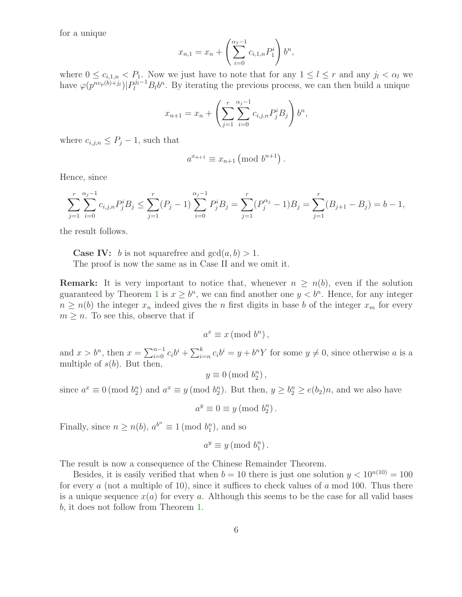for a unique

$$
x_{n,1} = x_n + \left(\sum_{i=0}^{\alpha_1 - 1} c_{i,1,n} P_1^i\right) b^n,
$$

where  $0 \leq c_{i,1,n} < P_1$ . Now we just have to note that for any  $1 \leq l \leq r$  and any  $j_l < \alpha_l$  we have  $\varphi(p^{nv_p(b)+j_l})|P_l^{j_l-1}B_l b^n$ . By iterating the previous process, we can then build a unique

$$
x_{n+1} = x_n + \left(\sum_{j=1}^r \sum_{i=0}^{\alpha_j - 1} c_{i,j,n} P_j^i B_j\right) b^n,
$$

where  $c_{i,j,n} \leq P_j - 1$ , such that

$$
a^{x_{n+1}} \equiv x_{n+1} \pmod{b^{n+1}}.
$$

Hence, since

$$
\sum_{j=1}^r \sum_{i=0}^{\alpha_j-1} c_{i,j,n} P_j^i B_j \le \sum_{j=1}^r (P_j - 1) \sum_{i=0}^{\alpha_j-1} P_j^i B_j = \sum_{j=1}^r (P_j^{\alpha_j} - 1) B_j = \sum_{j=1}^r (B_{j+1} - B_j) = b - 1,
$$

the result follows.

**Case IV:** b is not squarefree and  $gcd(a, b) > 1$ .

The proof is now the same as in Case II and we omit it.

**Remark:** It is very important to notice that, whenever  $n \geq n(b)$ , even if the solution guaranteed by Theorem [1](#page-2-0) is  $x \geq b^n$ , we can find another one  $y < b^n$ . Hence, for any integer  $n \geq n(b)$  the integer  $x_n$  indeed gives the n first digits in base b of the integer  $x_m$  for every  $m \geq n$ . To see this, observe that if

$$
a^x \equiv x \pmod{b^n},
$$

and  $x > b^n$ , then  $x = \sum_{i=0}^{n-1} c_i b^i + \sum_{i=n}^k c_i b^i = y + b^n Y$  for some  $y \neq 0$ , since otherwise a is a multiple of  $s(b)$ . But then,

$$
y \equiv 0 \pmod{b_2^n},
$$

since  $a^x \equiv 0 \pmod{b_2^n}$  and  $a^x \equiv y \pmod{b_2^n}$ . But then,  $y \ge b_2^n \ge e(b_2)n$ , and we also have

$$
a^y \equiv 0 \equiv y \pmod{b_2^n}.
$$

Finally, since  $n \ge n(b)$ ,  $a^{b^n} \equiv 1 \pmod{b_1^n}$ , and so

$$
a^y \equiv y \pmod{b_1^n}.
$$

The result is now a consequence of the Chinese Remainder Theorem.

<span id="page-5-0"></span>Besides, it is easily verified that when  $b = 10$  there is just one solution  $y < 10^{n(10)} = 100$ for every a (not a multiple of 10), since it suffices to check values of a mod 100. Thus there is a unique sequence  $x(a)$  for every a. Although this seems to be the case for all valid bases b, it does not follow from Theorem [1.](#page-2-0)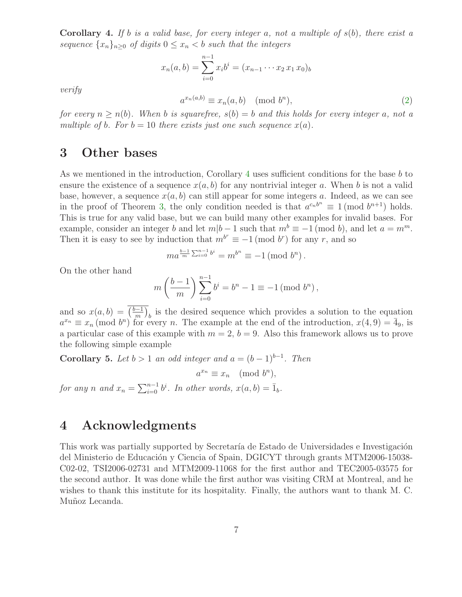**Corollary 4.** If b is a valid base, for every integer a, not a multiple of  $s(b)$ , there exist a sequence  $\{x_n\}_{n\geq 0}$  of digits  $0 \leq x_n < b$  such that the integers

$$
x_n(a,b) = \sum_{i=0}^{n-1} x_i b^i = (x_{n-1} \cdots x_2 \, x_1 \, x_0)_b
$$

verify

 $a^{x_n(a,b)} \equiv x_n(a,b) \pmod{b^n}$ ),  $(2)$ 

for every  $n \geq n(b)$ . When b is squarefree,  $s(b) = b$  and this holds for every integer a, not a multiple of b. For  $b = 10$  there exists just one such sequence  $x(a)$ .

#### 3 Other bases

As we mentioned in the introduction, Corollary [4](#page-5-0) uses sufficient conditions for the base b to ensure the existence of a sequence  $x(a, b)$  for any nontrivial integer a. When b is not a valid base, however, a sequence  $x(a, b)$  can still appear for some integers a. Indeed, as we can see in the proof of Theorem [3,](#page-3-0) the only condition needed is that  $a^{c_n b^n} \equiv 1 \pmod{b^{n+1}}$  holds. This is true for any valid base, but we can build many other examples for invalid bases. For example, consider an integer b and let  $m|b-1$  such that  $m^b \equiv -1 \pmod{b}$ , and let  $a = m^m$ . Then it is easy to see by induction that  $m^{b^r} \equiv -1 \pmod{b^r}$  for any r, and so

$$
ma^{\frac{b-1}{m}\sum_{i=0}^{n-1}b^i} = m^{b^n} \equiv -1 \pmod{b^n}.
$$

On the other hand

$$
m\left(\frac{b-1}{m}\right)\sum_{i=0}^{n-1}b^{i} = b^{n} - 1 \equiv -1 \pmod{b^{n}},
$$

and so  $x(a, b) = \left(\frac{b-1}{m}\right)$  $\left(\frac{-1}{m}\right)_b$  is the desired sequence which provides a solution to the equation  $a^{x_n} \equiv x_n \pmod{b^n}$  for every n. The example at the end of the introduction,  $x(4, 9) = \overline{4}_9$ , is a particular case of this example with  $m = 2$ ,  $b = 9$ . Also this framework allows us to prove the following simple example

**Corollary 5.** Let  $b > 1$  an odd integer and  $a = (b-1)^{b-1}$ . Then

 $a^{x_n} \equiv x_n \pmod{b^n}$ ,

for any n and  $x_n = \sum_{i=0}^{n-1} b^i$ . In other words,  $x(a, b) = \overline{1}_b$ .

#### 4 Acknowledgments

This work was partially supported by Secretaría de Estado de Universidades e Investigación del Ministerio de Educación y Ciencia of Spain, DGICYT through grants MTM2006-15038-C02-02, TSI2006-02731 and MTM2009-11068 for the first author and TEC2005-03575 for the second author. It was done while the first author was visiting CRM at Montreal, and he wishes to thank this institute for its hospitality. Finally, the authors want to thank M. C. Muñoz Lecanda.